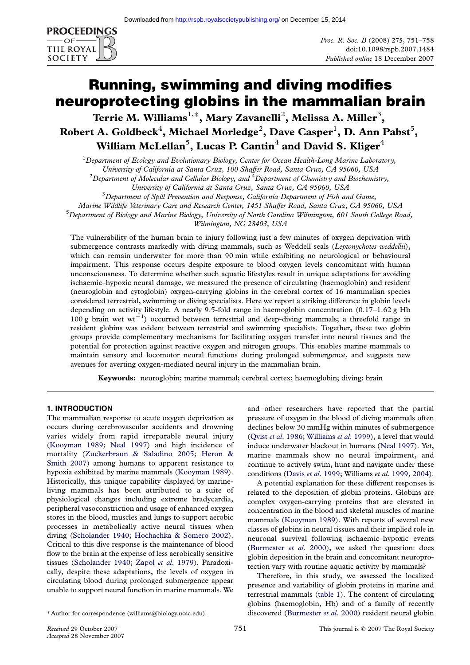

# Running, swimming and diving modifies neuroprotecting globins in the mammalian brain

Terrie M. Williams $^{1,\ast},$  Mary Zavanelli $^2$ , Melissa A. Miller $^3,$ Robert A. Goldbeck $^4$ , Michael Morledge $^2$ , Dave Casper $^1$ , D. Ann Pabst $^5$ , William McLellan $^5\!$ , Lucas P. Cantin $^4$  and David S. Kliger $^4$ 

 ${}^{1}$ Department of Ecology and Evolutionary Biology, Center for Ocean Health-Long Marine Laboratory, University of California at Santa Cruz, 100 Shaffer Road, Santa Cruz, CA 95060, USA <sup>2</sup> Department of Molecular and Cellular Biology, and <sup>4</sup> Department of Chemistry and Biochemistry, University of California at Santa Cruz, Santa Cruz, CA 95060, USA <sup>3</sup>

 ${}^{3}$ Department of Spill Prevention and Response, California Department of Fish and Game, Marine Wildlife Veterinary Care and Research Center, 1451 Shaffer Road, Santa Cruz, CA 95060, USA

 $5$ Department of Biology and Marine Biology, University of North Carolina Wilmington, 601 South College Road,

Wilmington, NC 28403, USA

The vulnerability of the human brain to injury following just a few minutes of oxygen deprivation with submergence contrasts markedly with diving mammals, such as Weddell seals (Leptonychotes weddellii), which can remain underwater for more than 90 min while exhibiting no neurological or behavioural impairment. This response occurs despite exposure to blood oxygen levels concomitant with human unconsciousness. To determine whether such aquatic lifestyles result in unique adaptations for avoiding ischaemic–hypoxic neural damage, we measured the presence of circulating (haemoglobin) and resident (neuroglobin and cytoglobin) oxygen-carrying globins in the cerebral cortex of 16 mammalian species considered terrestrial, swimming or diving specialists. Here we report a striking difference in globin levels depending on activity lifestyle. A nearly 9.5-fold range in haemoglobin concentration (0.17–1.62 g Hb  $100$  g brain wet wt<sup>-1</sup>) occurred between terrestrial and deep-diving mammals; a threefold range in resident globins was evident between terrestrial and swimming specialists. Together, these two globin groups provide complementary mechanisms for facilitating oxygen transfer into neural tissues and the potential for protection against reactive oxygen and nitrogen groups. This enables marine mammals to maintain sensory and locomotor neural functions during prolonged submergence, and suggests new avenues for averting oxygen-mediated neural injury in the mammalian brain.

Keywords: neuroglobin; marine mammal; cerebral cortex; haemoglobin; diving; brain

# 1. INTRODUCTION

The mammalian response to acute oxygen deprivation as occurs during cerebrovascular accidents and drowning varies widely from rapid irreparable neural injury (Kooyman 1989; Neal 1997) and high incidence of mortality (Zuckerbraun & Saladino 2005; Heron & Smith 2007) among humans to apparent resistance to hypoxia exhibited by marine mammals (Kooyman 1989). [Historically, this](#page-7-0) u[nique capab](#page-7-0)ility displayed by marineliving ma[mmals has been attributed to](#page-7-0) a [suite of](#page-7-0) [physiologica](#page-7-0)l changes including extreme bradycardia, peripheral vasoconstriction and usage of [enhanced oxyge](#page-7-0)n stores in the blood, muscles and lungs to support aerobic processes in metabolically active neural tissues when diving (Scholander 1940; Hochachka & Somero 2002). Critical to this dive response is the maintenance of blood flow to the brain at the expense of less aerobically sensitive tissues (Scholander 1940; Zapol et al. 1979). Paradoxically, d[espite these adaptations, the levels of oxygen i](#page-7-0)n circulating blood during prolonged submergence appear unable to support neural function in marine mammals. We

and other researchers have reported that the partial pressure of oxygen in the blood of diving mammals often declines below 30 mmHg within minutes of submergence (Qvist et al. 1986; Williams et al. 1999), a level that would induce underwater blackout in humans (Neal 1997). Yet, marine mammals show no neural impairment, and continue to actively swim, hunt and navigate under these [conditions \(Davis](#page-7-0) et al[. 1999; Williams](#page-7-0) et al. 1999, 2004).

A potential explanation for these diff[erent respon](#page-7-0)ses is related to the deposition of globin proteins. Globins are complex oxygen-carrying proteins that are elevated in concentrati[on in the blood an](#page-7-0)d skeletal mus[cles of](#page-7-0) [marin](#page-7-0)e mammals (Kooyman 1989). With reports of several new classes of globins in neural tissues and their implied role in neuronal survival following ischaemic–hypoxic events (Burmester et al. 2000), we asked the question: does globin dep[osition in the bra](#page-7-0)in and concomitant neuroprotection vary with routine aquatic activity by mammals?

Therefore, in this study, we assessed the localized [presence and variability](#page-7-0) of globin proteins in marine and terrestrial mammals (table 1). The content of circulating globins (haemoglobin, Hb) and of a family of recently discovered (Burmester et al. 2000) resident neural globin

<sup>\*</sup> Author for correspondence (williams@biology.ucsc.edu).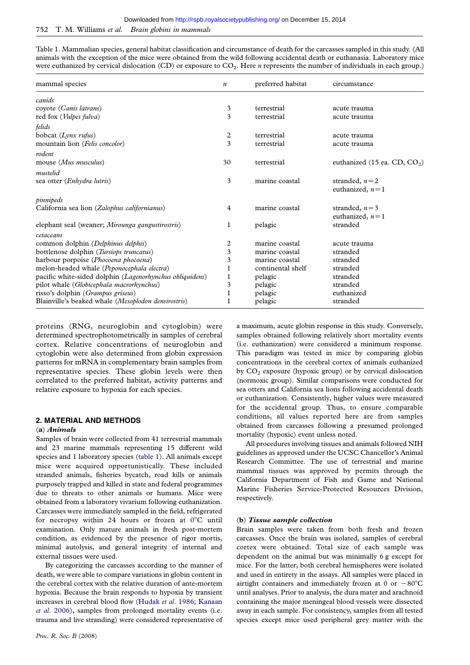<span id="page-1-0"></span>Table 1. Mammalian species, general habitat classification and circumstance of death for the carcasses sampled in this study. (All animals with the exception of the mice were [obtained from the wild following ac](http://rspb.royalsocietypublishing.org/)cidental death or euthanasia. Laboratory mice were euthanized by cervical dislocation (CD) or exposure to  $CO<sub>2</sub>$ . Here *n* represents the number of individuals in each group.)

| mammal species                                           | $\boldsymbol{n}$ | preferred habitat | circumstance                   |
|----------------------------------------------------------|------------------|-------------------|--------------------------------|
| canids                                                   |                  |                   |                                |
| coyote ( <i>Canis latrans</i> )                          | 3                | terrestrial       | acute trauma                   |
| red fox ( <i>Vulpes fulva</i> )                          | 3                | terrestrial       | acute trauma                   |
| felids                                                   |                  |                   |                                |
| bobcat (Lynx rufus)                                      | 2                | terrestrial       | acute trauma                   |
| mountain lion (Felis concolor)                           | 3                | terrestrial       | acute trauma                   |
| rodent                                                   |                  |                   |                                |
| mouse (Mus musculus)                                     | 30               | terrestrial       | euthanized (15 ea. CD, $CO2$ ) |
| mustelid                                                 |                  |                   |                                |
| sea otter (Enhydra lutris)                               | 3                | marine coastal    | stranded, $n=2$                |
|                                                          |                  |                   | euthanized, $n=1$              |
| pinnipeds                                                |                  |                   |                                |
| California sea lion (Zalophus californianus)             | 4                | marine coastal    | stranded, $n=3$                |
|                                                          |                  |                   | euthanized, $n=1$              |
| elephant seal (weaner; Mirounga gangustirostris)         | 1                | pelagic           | stranded                       |
| cetaceans                                                |                  |                   |                                |
| common dolphin (Delphinus delphis)                       | 2                | marine coastal    | acute trauma                   |
| bottlenose dolphin (Tursiops truncatus)                  | 3                | marine coastal    | stranded                       |
| harbour porpoise (Phocoena phocoena)                     | 3                | marine coastal    | stranded                       |
| melon-headed whale (Peponocephala electra)               | 1                | continental shelf | stranded                       |
| pacific white-sided dolphin (Lagenorhynchus obliquidens) | 1                | pelagic           | stranded                       |
| pilot whale (Globicephala macrorhynchus)                 | 3                | pelagic           | stranded                       |
| risso's dolphin (Grampus griseus)                        | 1                | pelagic           | euthanized                     |
| Blainville's beaked whale (Mesoplodon densirostris)      |                  | pelagic           | stranded                       |

proteins (RNG, neuroglobin and cytoglobin) were determined spectrophotometrically in samples of cerebral cortex. Relative concentrations of neuroglobin and cytoglobin were also determined from globin expression patterns for mRNA in complementary brain samples from representative species. These globin levels were then correlated to the preferred habitat, activity patterns and relative exposure to hypoxia for each species.

### 2. MATERIAL AND METHODS

#### (a) Animals

Samples of brain were collected from 41 terrestrial mammals and 23 marine mammals representing 15 different wild species and 1 laboratory species (table 1). All animals except mice were acquired opportunistically. These included stranded animals, fisheries bycatch, road kills or animals purposely trapped and killed in state and federal programmes due to threats to other animals or humans. Mice were obtained from a laboratory vivarium following euthanization. Carcasses were immediately sampled in the field, refrigerated for necropsy within 24 hours or frozen at  $0^{\circ}$ C until examination. Only mature animals in fresh post-mortem condition, as evidenced by the presence of rigor mortis, minimal autolysis, and general integrity of internal and external tissues were used.

By categorizing the carcasses according to the manner of death, we were able to compare variations in globin content in the cerebral cortex with the relative duration of ante-mortem hypoxia. Because the brain responds to hypoxia by transient increases in cerebral blood flow (Hudak et al. 1986; Kanaan et al. 2006), samples from prolonged mortality events (i.e. trauma and live stranding) were considered representative of

a maximum, acute globin response in this study. Conversely, samples obtained following relatively short mortality events (i.e. euthanization) were considered a minimum response. This paradigm was tested in mice by comparing globin concentrations in the cerebral cortex of animals euthanized by  $CO<sub>2</sub>$  exposure (hypoxic group) or by cervical dislocation (normoxic group). Similar comparisons were conducted for sea otters and California sea lions following accidental death or euthanization. Consistently, higher values were measured for the accidental group. Thus, to ensure comparable conditions, all values reported here are from samples obtained from carcasses following a presumed prolonged mortality (hypoxic) event unless noted.

All procedures involving tissues and animals followed NIH guidelines as approved under the UCSC Chancellor's Animal Research Committee. The use of terrestrial and marine mammal tissues was approved by permits through the California Department of Fish and Game and National Marine Fisheries Service-Protected Resources Division, respectively.

#### (b) Tissue sample collection

Brain samples were taken from both fresh and frozen carcasses. Once the brain was isolated, samples of cerebral cortex were obtained. Total size of each sample was dependent on the animal but was minimally 6 g except for mice. For the latter, both cerebral hemispheres were isolated and used in entirety in the assays. All samples were placed in airtight containers and immediately frozen at 0 or  $-80^{\circ}$ C until analyses. Prior to analysis, the dura mater and arachnoid containing the major meningeal blood vessels were dissected away in each sample. For consistency, samples from all tested species except mice used peripheral grey matter with the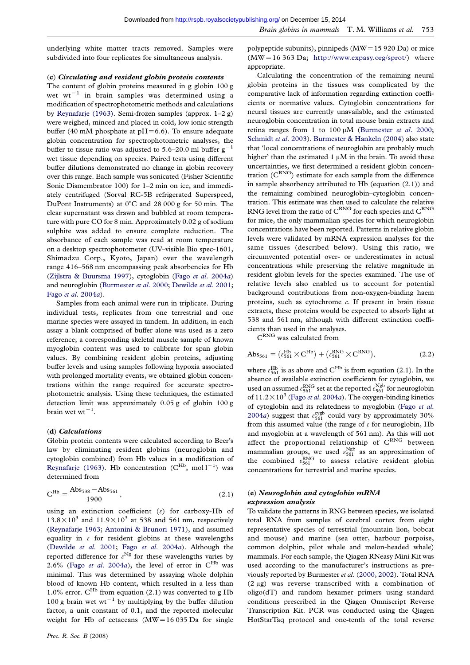underlying white matter tracts removed. Samples were subdivided into four replicates for simult[aneous analysis.](http://rspb.royalsocietypublishing.org/)

#### (c) Circulating and resident globin protein contents

The content of globin proteins measured in g globin 100 g wet wt<sup>-1</sup> in brain samples was determined using a modification of spectrophotometric methods and calculations by Reynafarje (1963). Semi-frozen samples (approx. 1–2 g) were weighed, minced and placed in cold, low ionic strength buffer (40 mM phosphate at  $pH=6.6$ ). To ensure adequate globin concentration for spectrophotometric analyses, the bu[ffer to tissue ratio w](#page-7-0)as adjusted to  $5.6-20.0$  ml buffer  $g^{-1}$ wet tissue depending on species. Paired tests using different buffer dilutions demonstrated no change in globin recovery over this range. Each sample was sonicated (Fisher Scientific Sonic Dismembrator 100) for 1–2 min on ice, and immediately centrifuged (Sorval RC-5B refrigerated Superspeed, DuPont Instruments) at  $0^{\circ}$ C and 28 000 g for 50 min. The clear supernatant was drawn and bubbled at room temperature with pure CO for 8 min. Approximately 0.02 g of sodium sulphite was added to ensure complete reduction. The absorbance of each sample was read at room temperature on a desktop spectrophotometer (UV–visible Bio spec-1601, Shimadzu Corp., Kyoto, Japan) over the wavelength range 416–568 nm encompassing peak absorbencies for Hb (Zijlstra & Buursma 1997), cytoglobin (Fago et al. 2004a) and neuroglobin (Burmester et al. 2000; Dewilde et al. 2001; Fago et al. 2004a).

Samples from each animal were run in triplicate. During i[ndividual tests, replicates](#page-7-0) from one t[errestrial and one](#page-7-0) marine species w[ere assayed in tandem. In addition, in each](#page-7-0) [assay a blank com](#page-7-0)prised of buffer alone was used as a zero reference; a corresponding skeletal muscle sample of known myoglobin content was used to calibrate for span globin values. By combining resident globin proteins, adjusting buffer levels and using samples following hypoxia associated with prolonged mortality events, we obtained globin concentrations within the range required for accurate spectrophotometric analysis. Using these techniques, the estimated detection limit was approximately 0.05 g of globin 100 g brain wet wt $^{-1}$ .

#### (d) Calculations

Globin protein contents were calculated according to Beer's law by eliminating resident globins (neuroglobin and cytoglobin combined) from Hb values in a modification of Reynafarje (1963). Hb concentration  $(C^{Hb}, mol 1^{-1})$  was determined from

$$
C^{Hb} = \frac{Abs_{538} - Abs_{561}}{1900},
$$
\n(2.1)

[using](#page-7-0) [an](#page-7-0) [extincti](#page-7-0)on coefficient  $(\varepsilon)$  for carboxy-Hb of  $13.8 \times 10^3$  and  $11.9 \times 10^3$  at 538 and 561 nm, respectively (Reynafarje 1963; Antonini & Brunori 1971), and assumed equality in  $\varepsilon$  for resident globins at these wavelengths (Dewilde et al. 2001; Fago et al. 2004a). Although the reported difference for  $\varepsilon^{\rm Ng}$  for these wavelengths varies by [2.6% \(Fago](#page-7-0) et al. 2004a[\), the level of erro](#page-7-0)r in  $C^{Hb}$  was minimal. This was determined by assaying whole dolphin [blood of known Hb c](#page-7-0)o[ntent, which resulte](#page-7-0)d in a less than 1.0% error.  $C^{Hb}$  from equation (2.1) was converted to g Hb 100 g [brain wet wt](#page-7-0)<sup>-1</sup> by multiplying by the buffer dilution factor, a unit constant of 0.1, and the reported molecular weight for Hb of cetaceans  $(MW=16 035 Da$  for single

polypeptide subunits), pinnipeds ( $MW = 15920$  Da) or mice  $(MW=16 363 Da; http://www.expasy.org/sprot/) where$ appropriate.

Calculating the concentration of the remaining neural globin proteins in the tissues was complicated by the comparative lack of i[nformation regarding extinctio](http://www.expasy.org/sprot/)n coefficients or normative values. Cytoglobin concentrations for neural tissues are currently unavailable, and the estimated neuroglobin concentration in total mouse brain extracts and retina ranges from 1 to  $100 \mu M$  (Burmester et al. 2000; Schmidt et al. 2003). Burmester & Hankeln (2004) also state that 'local concentrations of neuroglobin are probably much higher' than the estimated 1  $\mu$ M in the brain. To avoid these uncertainties, we first determined a resident globin concentration  $(C^{RNG})$  estim[ate for each sample from the difference](#page-7-0) in sample absorbency attributed to Hb (equation (2.1)) and the remaining combined neuroglobin–cytoglobin concentration. This estimate was then used to calculate the relative RNG level from the ratio of C<sup>RNG</sup> for each species and C<sup>RNG</sup> for mice, the only mammalian species for which neuroglobin concentrations have been reported. Patterns in relative globin levels were validated by mRNA expression analyses for the same tissues (described below). Using this ratio, we circumvented potential over- or underestimates in actual concentrations while preserving the relative magnitude in resident globin levels for the species examined. The use of relative levels also enabled us to account for potential background contributions from non-oxygen-binding haem proteins, such as cytochrome c. If present in brain tissue extracts, these proteins would be expected to absorb light at 538 and 561 nm, although with different extinction coefficients than used in the analyses.

CRNG was calculated from

$$
Abs_{561} = (e_{561}^{Hb} \times C^{Hb}) + (e_{561}^{RNG} \times C^{RNG}), \qquad (2.2)
$$

where  $\varepsilon_{561}^{\text{Hb}}$  is as above and  $\text{C}^{\text{Hb}}$  is from equation (2.1). In the absence of available extinction coefficients for cytoglobin, we used an assumed  $\varepsilon_{561}^{\rm RNG}$  set at the reported  $\varepsilon_{561}^{\rm Ngb}$  for neuroglobin of  $11.2 \times 10^3$  (Fago *et al.* 2004*a*). The oxygen-binding kinetics of cytoglobin and its relatedness to myoglobin (Fago et al. 2004*a*) suggest that  $\varepsilon_{561}^{cygb}$  could vary by approximately 30% from this assumed value (the range of  $\varepsilon$  for neuroglobin, Hb and myoglobi[n at a wavelength](#page-7-0) of 561 nm). As this will not affect the proportional relationship of  $C^{RNG}$  [between](#page-7-0) [mamm](#page-7-0)alian groups, we used  $\varepsilon_{561}^{\text{Ngb}}$  as an approximation of the combined  $\varepsilon_{561}^{RNG}$  to assess relative resident globin concentrations for terrestrial and marine species.

### (e) Neuroglobin and cytoglobin mRNA expression analysis

To validate the patterns in RNG between species, we isolated total RNA from samples of cerebral cortex from eight representative species of terrestrial (mountain lion, bobcat and mouse) and marine (sea otter, harbour porpoise, common dolphin, pilot whale and melon-headed whale) mammals. For each sample, the Qiagen RNeasy Mini Kit was used according to the manufacturer's instructions as previously reported by Burmester et al. (2000, 2002). Total RNA  $(2 \mu g)$  was reverse transcribed with a combination of oligo(dT) and random hexamer primers using standard conditions prescribed in the Qiagen Omniscript Reverse Transcription Kit. PCR was cond[ucted using](#page-7-0) the Qiagen HotStarTaq protocol and one-tenth of the total reverse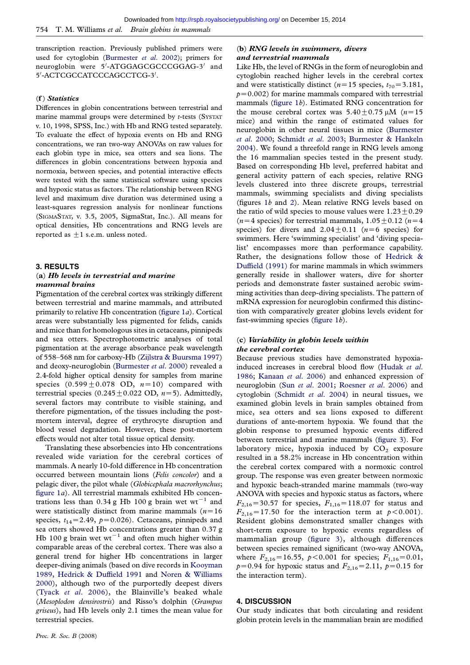transcription reaction. Previously published primers were used for cytoglobin (Burmester et al. 200[2\); primers for](http://rspb.royalsocietypublishing.org/) neuroglobin were 5'-ATGGAGCGCCCGGAG-3' and 5'-ACTCGCCATCCCAGCCTCG-3'.

#### (f ) Statistics

Differences in globin concentrations between terrestrial and marine mammal groups were determined by t-tests (SYSTAT v. 10, 1998, SPSS, Inc.) with Hb and RNG tested separately. To evaluate the effect of hypoxia events on Hb and RNG concentrations, we ran two-way ANOVAs on raw values for each globin type in mice, sea otters and sea lions. The differences in globin concentrations between hypoxia and normoxia, between species, and potential interactive effects were tested with the same statistical software using species and hypoxic status as factors. The relationship between RNG level and maximum dive duration was determined using a least-squares regression analysis for nonlinear functions (SIGMASTAT, v. 3.5, 2005, SigmaStat, Inc.). All means for optical densities, Hb concentrations and RNG levels are reported as  $\pm 1$  s.e.m. unless noted.

#### 3. RESULTS

#### (a) Hb levels in terrestrial and marine mammal brains

Pigmentation of the cerebral cortex was strikingly different between terrestrial and marine mammals, and attributed primarily to relative Hb concentration (figure 1a). Cortical areas were substantially less pigmented for felids, canids and mice than for homologous sites in cetaceans, pinnipeds and sea otters. Spectrophotometric analyses of total pigmentation at the average absorban[ce peak](#page-4-0) wavelength of 558–568 nm for carboxy-Hb (Zijlstra & Buursma 1997) and deoxy-neuroglobin (Burmester et al. 2000) revealed a 2.4-fold higher optical density for samples from marine species  $(0.599 \pm 0.078 \text{ OD}, n=10)$  compared with terrestrial species  $(0.245 \pm 0.022 \text{ OD}, n=5)$ . Admittedly, several factors may co[ntribute to visible sta](#page-7-0)ining, and therefore pigmentation, of the tissues including the postmortem interval, degree of erythrocyte disruption and blood vessel degradation. However, these post-mortem effects would not alter total tissue optical density.

Translating these absorbencies into Hb concentrations revealed wide variation for the cerebral cortices of mammals. A nearly 10-fold difference in Hb concentration occurred between mountain lions (Felis concolor) and a pelagic diver, the pilot whale (Globicephala macrorhynchus; figure 1a). All terrestrial mammals exhibited Hb concentrations less than 0.34 g Hb 100 g brain wet wt<sup>-1</sup> and were statistically distinct from marine mammals  $(n=16)$ species,  $t_{14}=2.49$ ,  $p=0.026$ ). Cetaceans, pinnipeds and [sea otte](#page-4-0)rs showed Hb concentrations greater than 0.37 g Hb 100 g brain wet wt<sup>-1</sup> and often much higher within comparable areas of the cerebral cortex. There was also a general trend for higher Hb concentrations in larger deeper-diving animals (based on dive records in Kooyman 1989, Hedrick & Duffield 1991 and Noren & Williams 2000), although two of the purportedly deepest divers (Tyack et al. 2006), the Blainville's beaked whale (Mesoplodon densirostris) and Risso's dolphin ([Grampus](#page-7-0) [griseu](#page-7-0)s[\), had Hb levels only 2.1 t](#page-7-0)imes [the mean value for](#page-7-0) [terres](#page-7-0)trial species.

### (b) RNG levels in swimmers, divers and terrestrial mammals

Like Hb, the level of RNGs in the form of neuroglobin and cytoglobin reached higher levels in the cerebral cortex and were statistically distinct ( $n=15$  species,  $t_{70}=3.181$ ,  $p=0.002$ ) for marine mammals compared with terrestrial mammals (figure 1b). Estimated RNG concentration for the mouse cerebral cortex was  $5.40 \pm 0.75 \mu M$  (n=15) mice) and within the range of estimated values for neuroglobin in other neural tissues in mice (Burmester et al. 2000; [Schmid](#page-4-0)t et al. 2003; Burmester & Hankeln 2004). We found a threefold range in RNG levels among the 16 mammalian species tested in the present study. Based on corresponding Hb level, preferred [habitat and](#page-7-0) [general act](#page-7-0)i[vity pattern of each species, relative RNG](#page-7-0) [levels](#page-7-0) clustered into three discrete groups, terrestrial mammals, swimming specialists and diving specialists (figures  $1b$  and  $2$ ). Mean relative RNG levels based on the ratio of wild species to mouse values were  $1.23\pm0.29$  $(n=4$  species) for terrestrial mammals,  $1.05\pm0.12$  (n=4) species) for divers and  $2.04 \pm 0.11$  (n=6 species) for swimme[rs](#page-4-0). Here ['s](#page-5-0)wimming specialist' and 'diving specialist' encompasses more than performance capability. Rather, the designations follow those of Hedrick & Duffield (1991) for marine mammals in which swimmers generally reside in shallower waters, dive for shorter periods and demonstrate faster sustained aerobic swimming activities than deep-diving specialists. T[he pattern of](#page-7-0) [mRNA expressio](#page-7-0)n for neuroglobin confirmed this distinction with comparatively greater globins levels evident for fast-swimming species (figure 1b).

## (c) Variability in globin levels within the cerebral cortex

Because previous stud[ies have](#page-4-0) demonstrated hypoxiainduced increases in cerebral blood flow (Hudak et al. 1986; Kanaan et al. 2006) and enhanced expression of neuroglobin (Sun et al. 2001; Roesner et al. 2006) and cytoglobin (Schmidt et al. 2004) in neural tissues, we examined globin levels in brain samples o[btained from](#page-7-0) [mice, sea otters and sea](#page-7-0) lions exposed to different durations of [ante-mortem hypoxia. We found tha](#page-7-0)t the globin resp[onse to presumed h](#page-7-0)ypoxic events differed between terrestrial and marine mammals (figure 3). For laboratory mice, hypoxia induced by  $CO<sub>2</sub>$  exposure resulted in a 58.2% increase in Hb concentration within the cerebral cortex compared with a normoxic control group. The response was even greater bet[ween norm](#page-5-0)oxic and hypoxic beach-stranded marine mammals (two-way ANOVA with species and hypoxic status as factors, where  $F_{2,16}=30.57$  for species,  $F_{1,16}=118.07$  for status and  $F_{2,16}=17.50$  for the interaction term at  $p < 0.001$ ). Resident globins demonstrated smaller changes with short-term exposure to hypoxic events regardless of mammalian group (figure 3), although differences between species remained significant (two-way ANOVA, where  $F_{2,16}=16.55$ ,  $p<0.001$  for species;  $F_{1,16}=0.01$ ,  $p=0.94$  for hypoxic status and  $F_{2,16}=2.11$ ,  $p=0.15$  for the interaction term).

#### 4. DISCUSSION

Our study indicates that both circulating and resident globin protein levels in the mammalian brain are modified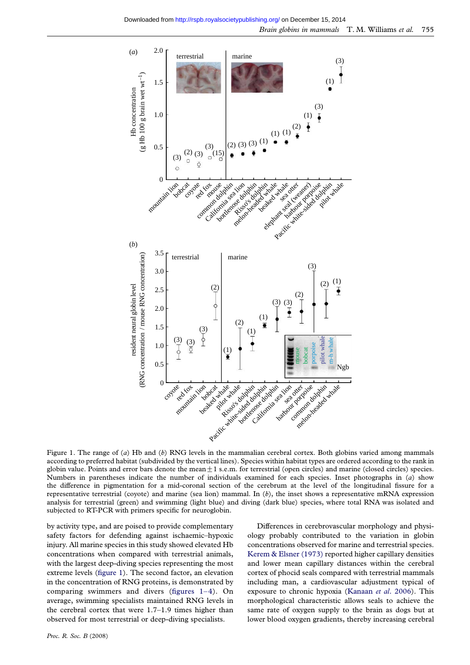<span id="page-4-0"></span>

Figure 1. The range of (a) Hb and (b) RNG levels in the mammalian cerebral cortex. Both globins varied among mammals according to preferred habitat (subdivided by the vertical lines). Species within habitat types are ordered according to the rank in globin value. Points and error bars denote the mean $\pm 1$  s.e.m. for terrestrial (open circles) and marine (closed circles) species. Numbers in parentheses indicate the number of individuals examined for each species. Inset photographs in  $(a)$  show the difference in pigmentation for a mid-coronal section of the cerebrum at the level of the longitudinal fissure for a representative terrestrial (coyote) and marine (sea lion) mammal. In  $(b)$ , the inset shows a representative mRNA expression analysis for terrestrial (green) and swimming (light blue) and diving (dark blue) species, where total RNA was isolated and subjected to RT-PCR with primers specific for neuroglobin.

by activity type, and are poised to provide complementary safety factors for defending against ischaemic–hypoxic injury. All marine species in this study showed elevated Hb concentrations when compared with terrestrial animals, with the largest deep-diving species representing the most extreme levels (figure 1). The second factor, an elevation in the concentration of RNG proteins, is demonstrated by comparing swimmers and divers (figures 1–4). On average, swimming specialists maintained RNG levels in the cerebral cortex that were 1.7–1.9 times higher than observed for most terrestrial or deep-diving specialists.

Differences in cerebrovascular morphology and physiology probably contributed to the variation in globin concentrations observed for marine and terrestrial species. Kerem & Elsner (1973) reported higher capillary densities and lower mean capillary distances within the cerebral cortex of phocid seals compared with terrestrial mammals including man, a cardiovascular adjustment typical of [exposure to chronic hy](#page-7-0)poxia (Kanaan et al. 2006). This morphological characteristic allows seals to achieve the same rate of oxygen supply to the brain as dogs but at lower blood oxygen gradients, thereby increasing cerebral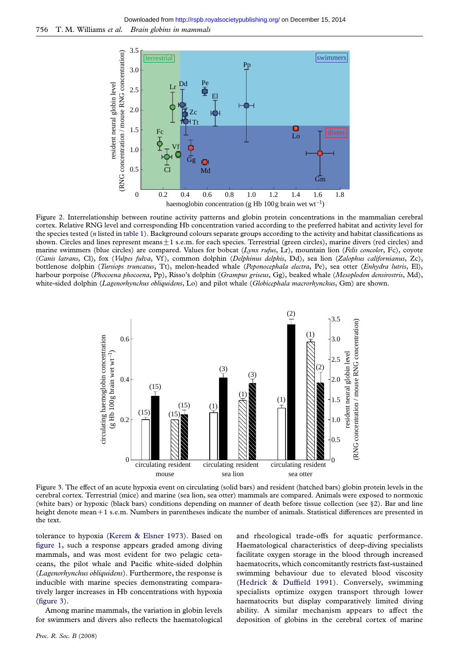<span id="page-5-0"></span>

Figure 2. Interrelationship between routine activity patterns and globin protein concentrations in the mammalian cerebral cortex. Relative RNG level and corresponding Hb concentration varied according to the preferred habitat and activity level for the species tested (n listed in table 1). Background colours separate groups according to the activity and habitat classifications as shown. Circles and lines represent means $\pm 1$  s.e.m. for each species. Terrestrial (green circles), marine divers (red circles) and marine swimmers (blue circles) are compared. Values for bobcat (Lynx rufus, Lr), mountain lion (Felis concolor, Fc), coyote (Canis latrans, Cl), fox (Vulpes fulva, Vf ), common dolphin (Delphinus delphis, Dd), sea lion (Zalophus californianus, Zc), bottlenose dolphin (Tursiops truncatus, Tt), melon-headed whale (Peponocephala electra, Pe), sea otter (Enhydra lutris, El), harbour porpoise (Phocoena [phocoen](#page-1-0)a, Pp), Risso's dolphin (Grampus griseus, Gg), beaked whale (Mesoplodon densirostris, Md), white-sided dolphin (Lagenorhynchus obliquidens, Lo) and pilot whale (Globicephala macrorhynchus, Gm) are shown.



Figure 3. The effect of an acute hypoxia event on circulating (solid bars) and resident (hatched bars) globin protein levels in the cerebral cortex. Terrestrial (mice) and marine (sea lion, sea otter) mammals are compared. Animals were exposed to normoxic (white bars) or hypoxic (black bars) conditions depending on manner of death before tissue collection (see §2). Bar and line height denote mean + 1 s.e.m. Numbers in parentheses indicate the number of animals. Statistical differences are presented in the text.

tolerance to hypoxia (Kerem & Elsner 1973). Based on figure 1, such a response appears graded among diving mammals, and was most evident for two pelagic cetaceans, the pilot whale and Pacific white-sided dolphin (Lagenorhynchus obliquidens[\). Furthermore, the](#page-7-0) response is [inducibl](#page-4-0)e with marine species demonstrating comparatively larger increases in Hb concentrations with hypoxia (figure 3).

Among marine mammals, the variation in globin levels for swimmers and divers also reflects the haematological

and rheological trade-offs for aquatic performance. Haematological characteristics of deep-diving specialists facilitate oxygen storage in the blood through increased haematocrits, which concomitantly restricts fast-sustained swimming behaviour due to elevated blood viscosity (Hedrick & Duffield 1991). Conversely, swimming specialists optimize oxygen transport through lower haematocrits but display comparatively limited diving ability. A similar mechanism appears to affect the [deposition of globins in the](#page-7-0) cerebral cortex of marine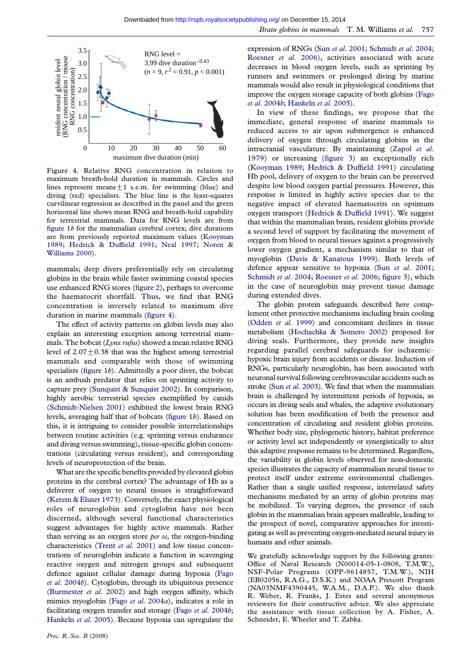

Figure 4. Relative RNG concentration in relation to maximum breath-hold duration in mammals. Circles and lines represent means $\pm 1$  s.e.m. for swimming (blue) and diving (red) specialists. The blue line is the least-squares curvilinear regression as described in the panel and the green horizontal line shows mean RNG and breath-hold capability for terrestrial mammals. Data for RNG levels are from figure 1b for the mammalian cerebral cortex; dive durations are from previously reported maximum values (Kooyman 1989; Hedrick & Duffield 1991; Neal 1997; Noren & Williams 2000).

[mamma](#page-4-0)ls; deep divers preferentially rely on circulating globins in the brain while faster swimming coast[al species](#page-7-0) [use](#page-7-0) [e](#page-7-0)n[hanced](#page-7-0) [RNG](#page-7-0) [stores](#page-7-0) [\(figure](#page-7-0) 2[\),](#page-7-0) [perhaps](#page-7-0) [to](#page-7-0) [overcome](#page-7-0) [the](#page-7-0) [haematoc](#page-7-0)rit shortfall. Thus, we find that RNG concentration is inversely related to maximum dive duration in marine mammals (figure 4).

The effect of activity pat[terns on](#page-5-0) globin levels may also explain an interesting exception among terrestrial mammals. The bobcat (Lynx rufus) showed a mean relative RNG level of  $2.07\pm0.38$  that was the highest among terrestrial mammals and comparable with those of swimming specialists (figure 1*b*). Admittedly a poor diver, the bobcat is an ambush predator that relies on sprinting activity to capture prey (Sunquist & Sunquist 2002). In comparison, highly aerobic terrestrial species exemplified by canids (Schmidt-[Nielsen 2](#page-4-0)001) exhibited the lowest brain RNG levels, averaging half that of bobcats (figure 1b). Based on this, it is intri[guing to consider possible](#page-7-0) interrelationships between routine activities (e.g. sprinting versus endurance [and diving versus swimm](#page-7-0)ing), tissue-specific globin concentrations (circulating versus resident)[, and co](#page-4-0)rresponding levels of neuroprotection of the brain.

What are the specific benefits provided by elevated globin proteins in the cerebral cortex? The advantage of Hb as a deliverer of oxygen to neural tissues is straightforward (Kerem & Elsner 1973). Conversely, the exact physiological roles of neuroglobin and cytoglobin have not been discerned, although several functional characteristics suggest advantages for highly active mammals. Rather t[han serving as an oxy](#page-7-0)gen store per se, the oxygen-binding characteristics (Trent et al. 2001) and low tissue concentrations of neuroglobin indicate a function in scavenging reactive oxygen and nitrogen groups and subsequent defence against cellular damage during hypoxia (Fago et al. 2004b). [Cytoglobin, throug](#page-7-0)h its ubiquitous presence (Burmester et al. 2002) and high oxygen affinity, which mimics myoglobin (Fago et al. 2004a), indicates a role in facilitating oxygen transfer and storage (Fago et al. 2[004](#page-7-0)b; [Hankeln](#page-7-0) et al. 2005). Because hypoxia can upregulate the

expression of RNGs (Sun et al. 2001; Schmidt et al. 2004; [Roesner](http://rspb.royalsocietypublishing.org/) et al. 2006), activities associated with acute decreases in blood oxygen levels, such as sprinting by runners and swimmers or prolonged diving by marine mammals would also [result in physiological conditions that](#page-7-0) [improve the oxygen st](#page-7-0)orage capacity of both globins (Fago et al. 2004b; Hankeln et al. 2005).

In view of these findings, we propose that the immediate, general response of marine mammals to reduced access to air upon submergence is enh[anced](#page-7-0) [delivery of oxygen through ci](#page-7-0)rculating globins in the intracranial vasculature. By maintaining (Zapol et al. 1979) or increasing (figure 3) an exceptionally rich (Kooyman 1989; Hedrick & Duffield 1991) circulating Hb pool, delivery of oxygen to the brain can be preserved despite low blood oxygen partial pressures. [However, this](#page-7-0) [respo](#page-7-0)nse is limited in [highly ac](#page-5-0)tive species due to the [negative impact](#page-7-0) [of elevated haematocrits o](#page-7-0)n optimum oxygen transport (Hedrick & Duffield 1991). We suggest that within the mammalian brain, resident globins provide a second level of support by facilitating the movement of oxygen from blood to neural tissues against a progressively lower oxygen gra[dient, a mechanism simil](#page-7-0)ar to that of myoglobin (Davis & Kanatous 1999). Both levels of defence appear sensitive to hypoxia (Sun et al. 2001; Schmidt et al. 2004; Roesner et al. 2006; figure 3), which in the case of neuroglobin may prevent tissue damage during exten[ded dives.](#page-7-0)

The globin protein safeguards desc[ribed here comp](#page-7-0)[lement other protective mechanisms includ](#page-7-0)[ing brain](#page-5-0) cooling (Odden et al. 1999) and concomitant declines in tissue metabolism (Hochachka & Somero 2002) proposed for diving seals. Furthermore, they provide new insights regarding parallel cerebral safeguards for ischaemic– [hypoxic brain injury](#page-7-0) from accidents or disease. Induction of RNGs, parti[cularly neuroglobin, has been](#page-7-0) associated with neuronal survival following cerebrovascular accidents such as stroke (Sun et al. 2003). We find that when the mammalian brain is challenged by intermittent periods of hypoxia, as occurs in diving seals and whales, the adaptive evolutionary solution has been modification of both the presence and concen[tration of circu](#page-7-0)lating and resident globin proteins. Whether body size, phylogenetic history, habitat preference or activity level act independently or synergistically to alter this adaptive response remains to be determined. Regardless, the variability in globin levels observed for non-domestic species illustrates the capacity of mammalian neural tissue to protect itself under extreme environmental challenges. Rather than a single unified response, interrelated safety mechanisms mediated by an array of globin proteins may be mobilized. To varying degrees, the presence of each globin in the mammalian brain appears malleable, leading to the prospect of novel, comparative approaches for investigating as well as preventing oxygen-mediated neural injury in humans and other animals.

We gratefully acknowledge support by the following grants: Office of Naval Research (N00014-05-1-0808, T.M.W.), NSF-Polar Programs (OPP-9614857, T.M.W.), NIH (EB02056, R.A.G., D.S.K.) and NOAA Prescott Program (NA03NMF4390445, W.A.M., D.A.P.). We also thank R. Weber, R. Franks, J. Estes and several anonymous reviewers for their constructive advice. We also appreciate the assistance with tissue collection by A. Fisher, A. Schneider, E. Wheeler and T. Zabka.